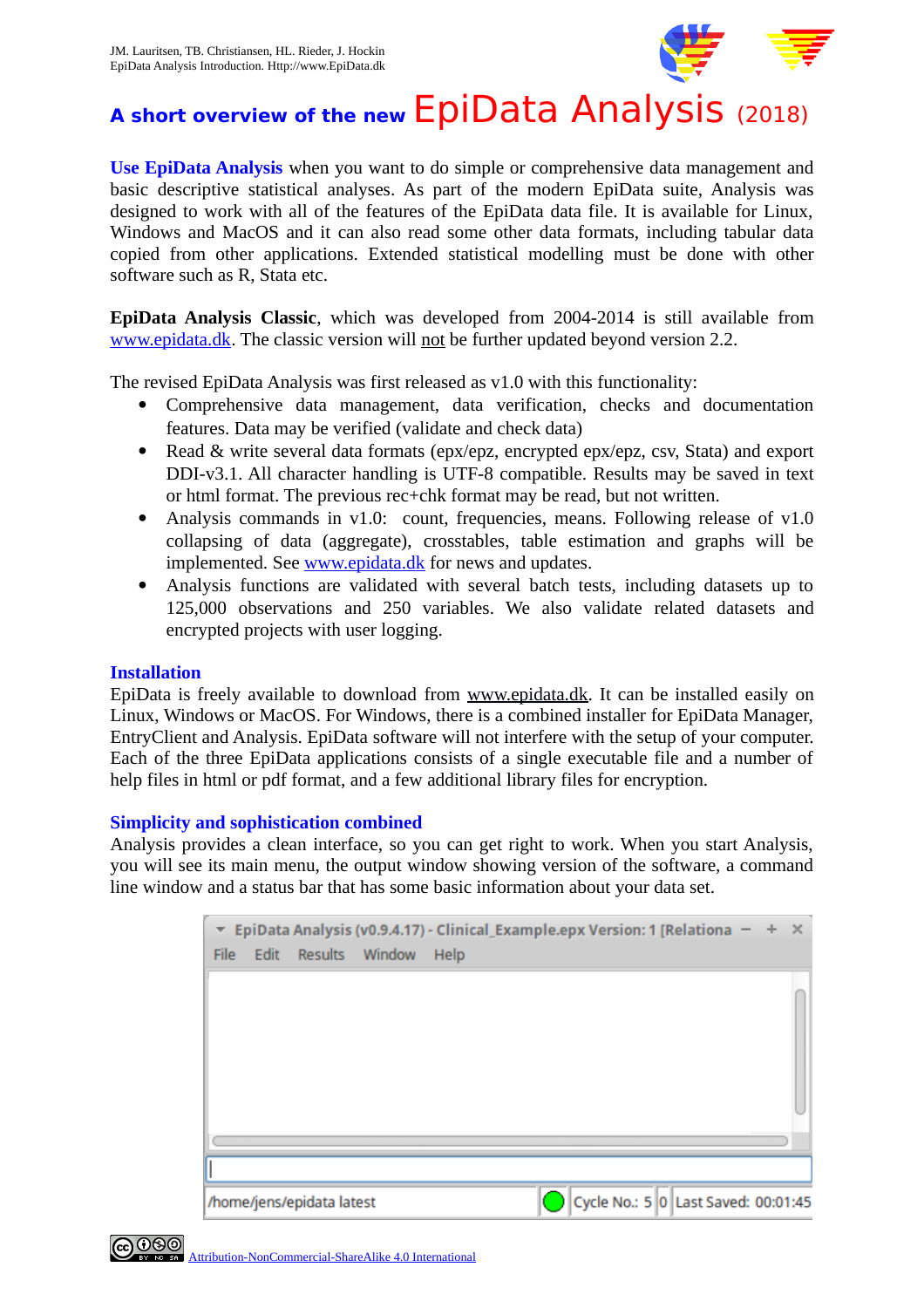

# **A short overview of the new** EpiData Analysis (2018)

**Use EpiData Analysis** when you want to do simple or comprehensive data management and basic descriptive statistical analyses. As part of the modern EpiData suite, Analysis was designed to work with all of the features of the EpiData data file. It is available for Linux, Windows and MacOS and it can also read some other data formats, including tabular data copied from other applications. Extended statistical modelling must be done with other software such as R, Stata etc.

**EpiData Analysis Classic**, which was developed from 2004-2014 is still available from [www.epidata.dk.](http://www.epidata.dk/) The classic version will not be further updated beyond version 2.2.

The revised EpiData Analysis was first released as v1.0 with this functionality:

- Comprehensive data management, data verification, checks and documentation features. Data may be verified (validate and check data)
- Read & write several data formats (epx/epz, encrypted epx/epz, csv, Stata) and export DDI-v3.1. All character handling is UTF-8 compatible. Results may be saved in text or html format. The previous rec+chk format may be read, but not written.
- Analysis commands in v1.0: count, frequencies, means. Following release of v1.0 collapsing of data (aggregate), crosstables, table estimation and graphs will be implemented. See [www.epidata.dk](http://www.epidata.dk/) for news and updates.
- Analysis functions are validated with several batch tests, including datasets up to 125,000 observations and 250 variables. We also validate related datasets and encrypted projects with user logging.

## **Installation**

EpiData is freely available to download from [www.epidata.dk.](http://www.epidata.dk/) It can be installed easily on Linux, Windows or MacOS. For Windows, there is a combined installer for EpiData Manager, EntryClient and Analysis. EpiData software will not interfere with the setup of your computer. Each of the three EpiData applications consists of a single executable file and a number of help files in html or pdf format, and a few additional library files for encryption.

## **Simplicity and sophistication combined**

Analysis provides a clean interface, so you can get right to work. When you start Analysis, you will see its main menu, the output window showing version of the software, a command line window and a status bar that has some basic information about your data set.

| File |                           | Edit Results Window | $\overline{z}$ EpiData Analysis (v0.9.4.17) - Clinical_Example.epx Version: 1 [Relationa $ +$ $\times$<br>Help |  |                                     |  |  |
|------|---------------------------|---------------------|----------------------------------------------------------------------------------------------------------------|--|-------------------------------------|--|--|
|      |                           |                     |                                                                                                                |  |                                     |  |  |
|      |                           |                     |                                                                                                                |  |                                     |  |  |
|      |                           |                     |                                                                                                                |  |                                     |  |  |
|      |                           |                     |                                                                                                                |  |                                     |  |  |
|      |                           |                     |                                                                                                                |  |                                     |  |  |
|      | /home/jens/epidata latest |                     |                                                                                                                |  | Cycle No.: 5 0 Last Saved: 00:01:45 |  |  |

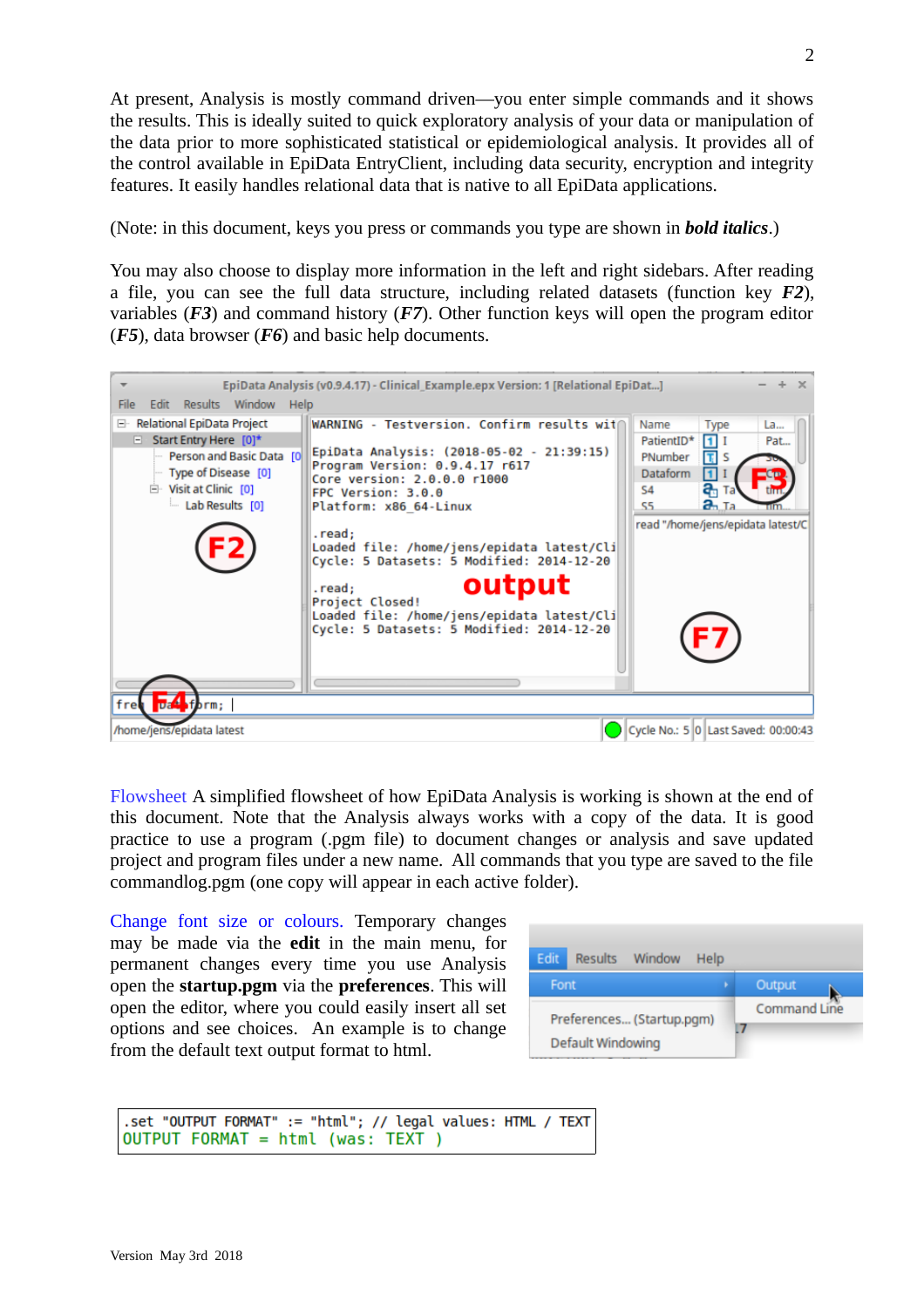At present, Analysis is mostly command driven—you enter simple commands and it shows the results. This is ideally suited to quick exploratory analysis of your data or manipulation of the data prior to more sophisticated statistical or epidemiological analysis. It provides all of the control available in EpiData EntryClient, including data security, encryption and integrity features. It easily handles relational data that is native to all EpiData applications.

(Note: in this document, keys you press or commands you type are shown in *bold italics*.)

You may also choose to display more information in the left and right sidebars. After reading a file, you can see the full data structure, including related datasets (function key *F2*), variables (*F3*) and command history (*F7*). Other function keys will open the program editor (*F5*), data browser (*F6*) and basic help documents.



Flowsheet A simplified flowsheet of how EpiData Analysis is working is shown at the end of this document. Note that the Analysis always works with a copy of the data. It is good practice to use a program (.pgm file) to document changes or analysis and save updated project and program files under a new name. All commands that you type are saved to the file commandlog.pgm (one copy will appear in each active folder).

Change font size or colours. Temporary changes may be made via the **edit** in the main menu, for permanent changes every time you use Analysis open the **startup.pgm** via the **preferences**. This will open the editor, where you could easily insert all set options and see choices. An example is to change from the default text output format to html.



```
.set "OUTPUT FORMAT" := "html"; // legal values: HTML / TEXT
OUTPUT FORMAT = html (was: TEXT )
```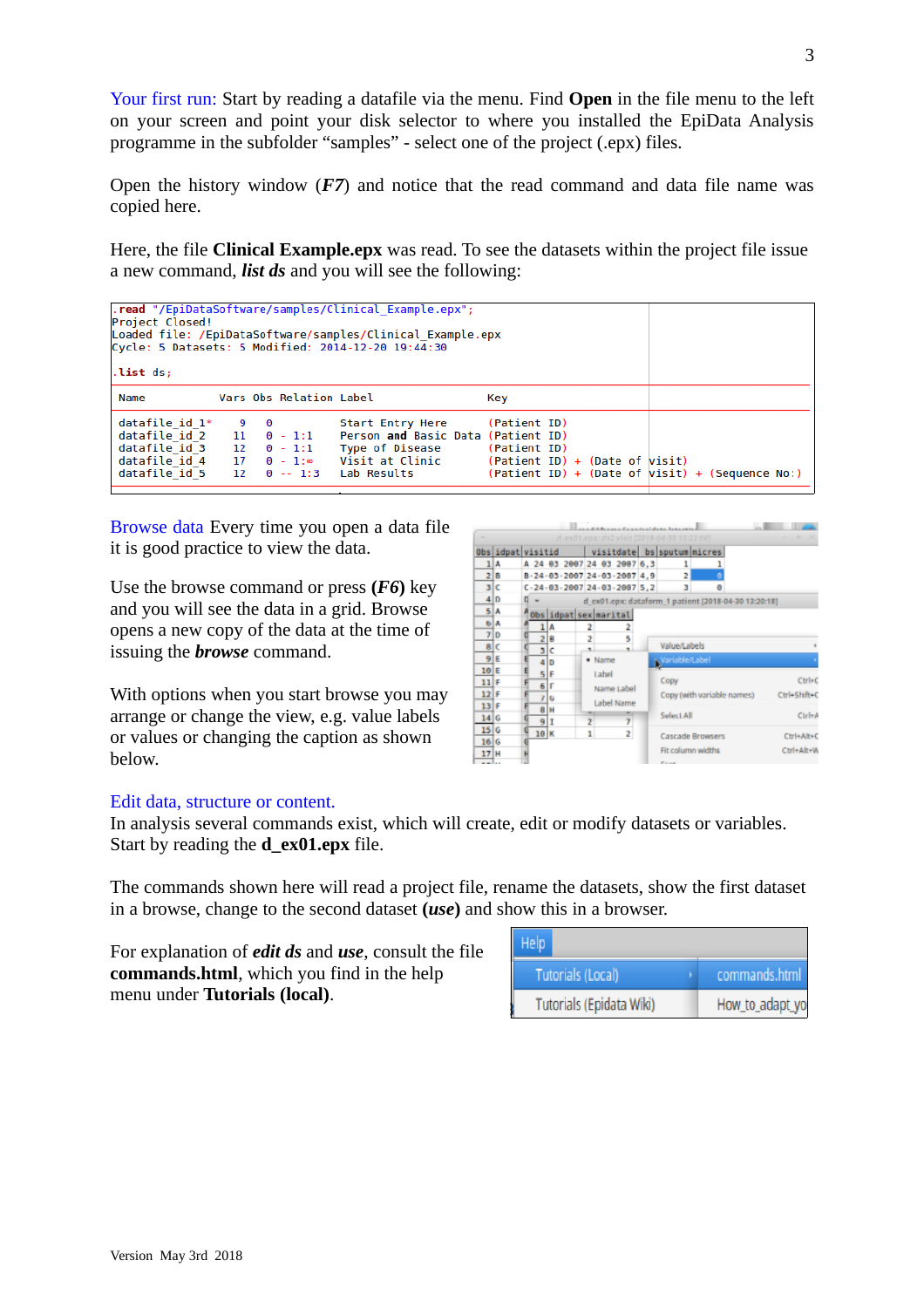Your first run: Start by reading a datafile via the menu. Find **Open** in the file menu to the left on your screen and point your disk selector to where you installed the EpiData Analysis programme in the subfolder "samples" - select one of the project (.epx) files.

Open the history window (*F7*) and notice that the read command and data file name was copied here.

Here, the file **Clinical Example.epx** was read. To see the datasets within the project file issue a new command, *list ds* and you will see the following:

| .read "/EpiDataSoftware/samples/Clinical Example.epx";<br>Project Closed!<br>Loaded file: /EpiDataSoftware/samples/Clinical Example.epx<br>Cycle: 5 Datasets: 5 Modified: 2014-12-20 19:44:30<br>list ds; |          |         |                                                                         |                                                                                                             |                                                                                                                       |  |  |  |  |  |  |  |  |  |
|-----------------------------------------------------------------------------------------------------------------------------------------------------------------------------------------------------------|----------|---------|-------------------------------------------------------------------------|-------------------------------------------------------------------------------------------------------------|-----------------------------------------------------------------------------------------------------------------------|--|--|--|--|--|--|--|--|--|
| Name                                                                                                                                                                                                      |          |         | Vars Obs Relation Label                                                 |                                                                                                             | Key                                                                                                                   |  |  |  |  |  |  |  |  |  |
| datafile id 1*<br>datafile id 2<br>datafile id 3<br>datafile id 4<br>datafile id 5                                                                                                                        | 12<br>17 | - 9 - 0 | $11 \quad 0 - 1:1$<br>$0 - 1:1$<br>$0 - 1$ :<br>$12 \quad 0 \quad -1:3$ | Start Entry Here<br>Person and Basic Data (Patient ID)<br>Type of Disease<br>Visit at Clinic<br>Lab Results | (Patient ID)<br>(Patient ID)<br>(Patient ID) + (Date of Wisit)<br>$(Pational ID) + (Date of visit) + (Sequence No: )$ |  |  |  |  |  |  |  |  |  |

Browse data Every time you open a data file it is good practice to view the data.

Use the browse command or press **(***F6***)** key and you will see the data in a grid. Browse opens a new copy of the data at the time of issuing the *browse* command.

With options when you start browse you may arrange or change the view, e.g. value labels or values or changing the caption as shown below.

|                 |                   |   |       |     |    | ditches and Complete International Automobile |                     |                         |                                                      |              |
|-----------------|-------------------|---|-------|-----|----|-----------------------------------------------|---------------------|-------------------------|------------------------------------------------------|--------------|
|                 |                   |   |       |     |    | d.ex01.epx; ds2 visit (2018-04-30.13:22:06)   |                     |                         |                                                      |              |
|                 | Obs idpat visitid |   |       |     |    | visitdate bs sputum micres                    |                     |                         |                                                      |              |
|                 | 1 A               |   |       |     |    | A 24 03 2007 24 03 2007 6.3                   | 1                   |                         |                                                      |              |
|                 | 2 B               |   |       |     |    | B-24-03-2007 24-03-2007 4,9                   | 2                   |                         |                                                      |              |
|                 | 3 I C             |   |       |     |    | $C - 24 - 03 - 2007$ 24 - 03 - 2007 5, 2      | з                   |                         |                                                      |              |
|                 | 4 D               | D |       |     |    |                                               |                     |                         | d_ex01.epx: dataform_1 patient [2018-04-30 13:20:18] |              |
|                 | 5 A               |   |       |     |    | Obs idpat sex marital                         |                     |                         |                                                      |              |
|                 | <b>6 A</b>        |   |       | Α   | 2  |                                               |                     |                         |                                                      |              |
|                 | 7 0               |   |       | 2 B | ż  | 5                                             |                     |                         |                                                      |              |
|                 | s c               |   | ы     | c   | ×. | ٠                                             | <b>Value/Labels</b> |                         |                                                      |              |
|                 | 9E                |   |       | 4 D |    | · Name                                        | Variable/Label      |                         |                                                      |              |
| 10E             |                   | E | $5$ F |     |    | Label                                         |                     |                         |                                                      |              |
| $11$ F          |                   |   | 6 F   |     |    | Name Label                                    | Copy                |                         |                                                      | $C$ tri+ $C$ |
| $12$ F          |                   |   | 7     | ú   |    |                                               |                     |                         | Copy (with variable names)                           | Ctrl+Shift+C |
| 13 F            |                   |   |       | 8H  |    | Label Name                                    |                     |                         |                                                      |              |
| 14 G            |                   |   | 9     |     | ž  |                                               | Select All          |                         |                                                      | $C$ Irl $+A$ |
| 15 <sub>6</sub> |                   |   | 10K   |     | ı  | $\overline{z}$                                |                     | <b>Cascade Browsers</b> |                                                      | Ctrl+Alt+C   |
| 16 G            |                   |   |       |     |    |                                               |                     |                         |                                                      |              |
| 17H             |                   |   |       |     |    |                                               |                     | Fit column widths       |                                                      | Ctrl+Alt+W   |
|                 |                   |   |       |     |    |                                               |                     |                         |                                                      |              |

#### Edit data, structure or content.

In analysis several commands exist, which will create, edit or modify datasets or variables. Start by reading the **d** ex01.epx file.

The commands shown here will read a project file, rename the datasets, show the first dataset in a browse, change to the second dataset **(***use***)** and show this in a browser.

For explanation of *edit ds* and *use*, consult the file **commands.html**, which you find in the help menu under **Tutorials (local)**.

| Help                     |                 |
|--------------------------|-----------------|
| <b>Tutorials (Local)</b> | commands.html   |
| Tutorials (Epidata Wiki) | How_to_adapt_yo |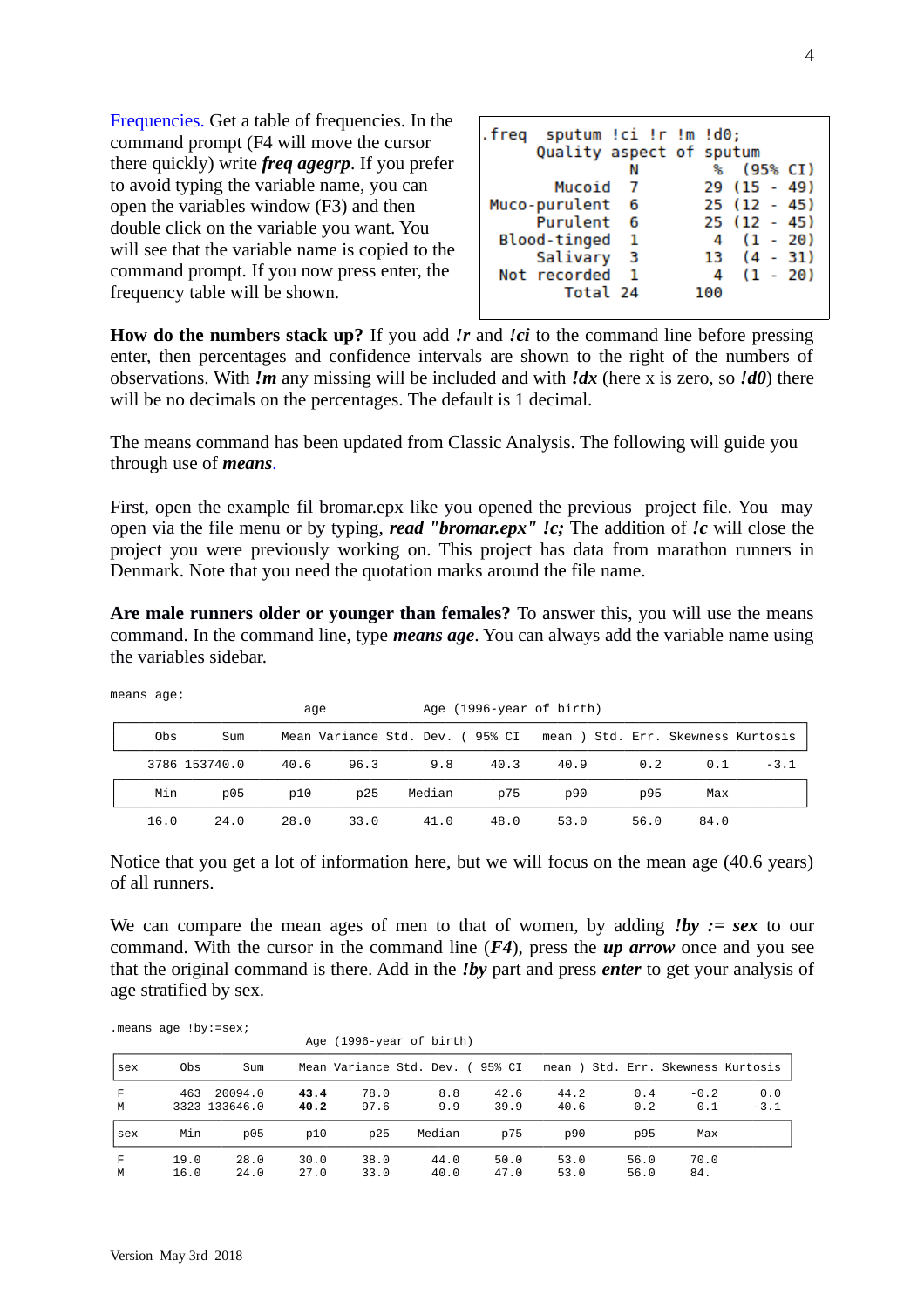Frequencies. Get a table of frequencies. In the command prompt (F4 will move the cursor there quickly) write *freq agegrp*. If you prefer to avoid typing the variable name, you can open the variables window (F3) and then double click on the variable you want. You will see that the variable name is copied to the command prompt. If you now press enter, the frequency table will be shown.

| .freq sputum !ci !r !m !d0; |     |     |               |            |
|-----------------------------|-----|-----|---------------|------------|
| Quality aspect of sputum    |     |     |               |            |
|                             |     | ℁   |               | (95% CI)   |
| Mucoid                      |     |     | $29(15 - 49)$ |            |
| Muco-purulent               | - 6 |     | $25(12 - 45)$ |            |
| Purulent 6                  |     |     | $25(12 - 45)$ |            |
| Blood-tinged                | - 1 | 4   | $(1 - 20)$    |            |
| Salivary                    | - 3 |     | $13(4-31)$    |            |
| Not recorded                |     | 4   |               | $(1 - 20)$ |
| Total 24                    |     | 100 |               |            |
|                             |     |     |               |            |

**How do the numbers stack up?** If you add *!r* and *!ci* to the command line before pressing enter, then percentages and confidence intervals are shown to the right of the numbers of observations. With *!m* any missing will be included and with *!dx* (here x is zero, so *!d0*) there will be no decimals on the percentages. The default is 1 decimal.

The means command has been updated from Classic Analysis. The following will guide you through use of *means*.

First, open the example fil bromar.epx like you opened the previous project file. You may open via the file menu or by typing, *read "bromar.epx" !c;* The addition of *!c* will close the project you were previously working on. This project has data from marathon runners in Denmark. Note that you need the quotation marks around the file name.

**Are male runners older or younger than females?** To answer this, you will use the means command. In the command line, type *means age*. You can always add the variable name using the variables sidebar.

|      |                 |      | age  |                                                                    | Age (1996-year of birth) |      |      |      |        |
|------|-----------------|------|------|--------------------------------------------------------------------|--------------------------|------|------|------|--------|
| 0bs  | Sum             |      |      | Mean Variance Std. Dev. (95% CI mean ) Std. Err. Skewness Kurtosis |                          |      |      |      |        |
|      | 3786 153740.0   | 40.6 | 96.3 | 9.8                                                                | 40.3                     | 40.9 | 0.2  | 0.1  | $-3.1$ |
| Min  | D <sub>05</sub> | p10  | p25  | Median                                                             | p75                      | p90  | p95  | Max  |        |
| 16.0 | 24.0            | 28.0 | 33.0 | 41.0                                                               | 48.0                     | 53.0 | 56.0 | 84.0 |        |

means age;

Notice that you get a lot of information here, but we will focus on the mean age (40.6 years) of all runners.

We can compare the mean ages of men to that of women, by adding *!by := sex* to our command. With the cursor in the command line (*F4*), press the *up arrow* once and you see that the original command is there. Add in the *!by* part and press *enter* to get your analysis of age stratified by sex.

|         |              |                          |              |              | Age (1996-year of birth)        |              |              |                             |                                    |                               |
|---------|--------------|--------------------------|--------------|--------------|---------------------------------|--------------|--------------|-----------------------------|------------------------------------|-------------------------------|
| sex     | 0bs          | Sum                      |              |              | Mean Variance Std. Dev. (95% CI |              |              |                             | mean ) Std. Err. Skewness Kurtosis |                               |
| F.<br>M | 463          | 20094.0<br>3323 133646.0 | 43.4<br>40.2 | 78.0<br>97.6 | 8.8<br>9.9                      | 42.6<br>39.9 | 44.2<br>40.6 | $\theta$ .4<br>$\theta$ . 2 | $-0.2$<br>0.1                      | $\theta$ . $\theta$<br>$-3.1$ |
| sex     | Min          | p05                      | p10          | p25          | Median                          | p75          | p90          | p95                         | Max                                |                               |
| F.<br>М | 19.0<br>16.0 | 28.0<br>24.0             | 30.0<br>27.0 | 38.0<br>33.0 | 44.0<br>40.0                    | 50.0<br>47.0 | 53.0<br>53.0 | 56.0<br>56.0                | 70.0<br>84.                        |                               |

.means age !by:=sex;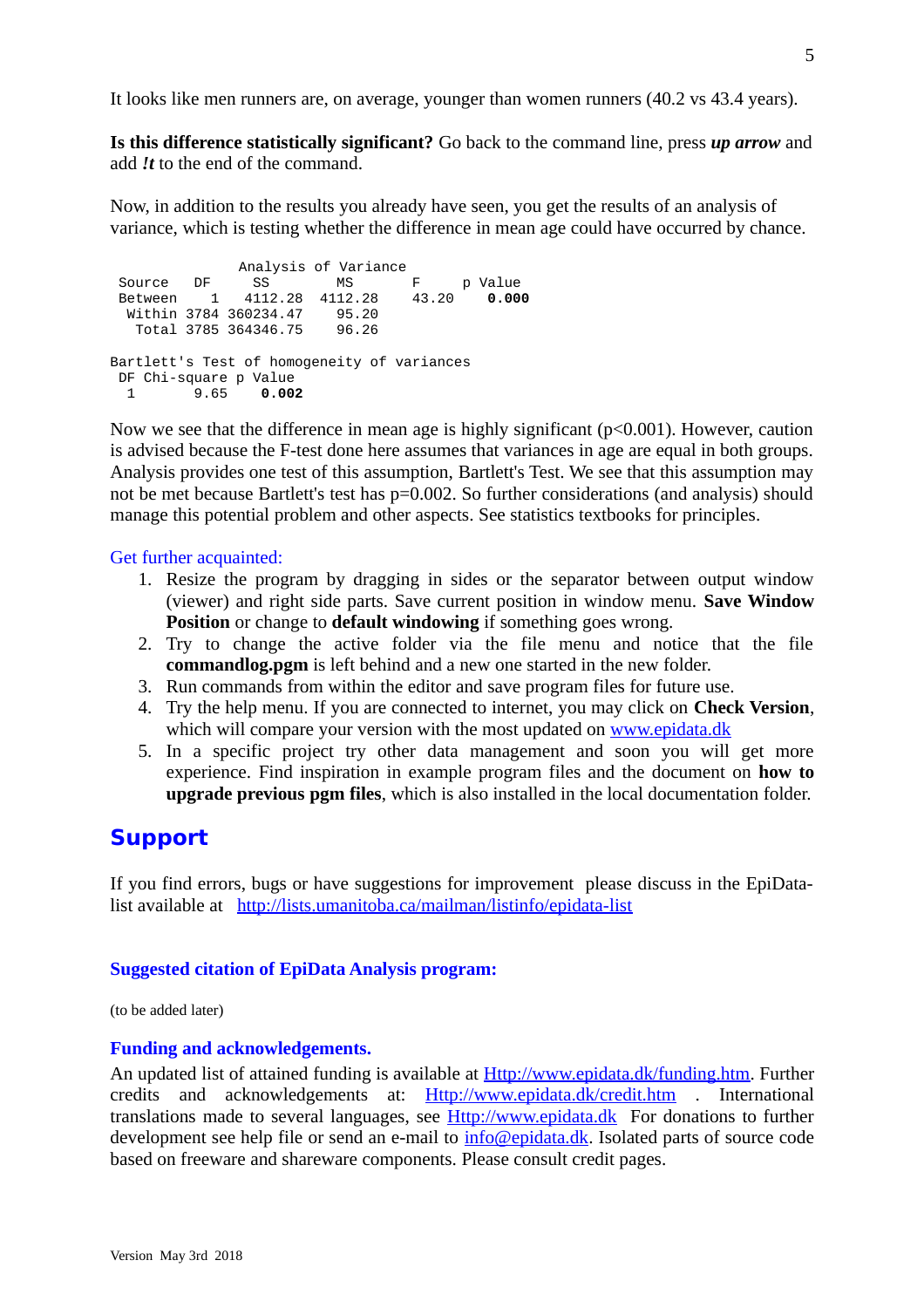It looks like men runners are, on average, younger than women runners (40.2 vs 43.4 years).

**Is this difference statistically significant?** Go back to the command line, press *up arrow* and add *!t* to the end of the command.

Now, in addition to the results you already have seen, you get the results of an analysis of variance, which is testing whether the difference in mean age could have occurred by chance.

 Analysis of Variance Source DF SS MS F p Value<br>Between 1 4112.28 4112.28 43.20 0.000 Between 1 4112.28 4112.28 43.20 **0.000** Within 3784 360234.47 Total 3785 364346.75 96.26 Bartlett's Test of homogeneity of variances DF Chi-square p Value<br>1 9.65 0.002 1 9.65 **0.002**

Now we see that the difference in mean age is highly significant ( $p<0.001$ ). However, caution is advised because the F-test done here assumes that variances in age are equal in both groups. Analysis provides one test of this assumption, Bartlett's Test. We see that this assumption may not be met because Bartlett's test has p=0.002. So further considerations (and analysis) should manage this potential problem and other aspects. See statistics textbooks for principles.

#### Get further acquainted:

- 1. Resize the program by dragging in sides or the separator between output window (viewer) and right side parts. Save current position in window menu. **Save Window Position** or change to **default windowing** if something goes wrong.
- 2. Try to change the active folder via the file menu and notice that the file **commandlog.pgm** is left behind and a new one started in the new folder.
- 3. Run commands from within the editor and save program files for future use.
- 4. Try the help menu. If you are connected to internet, you may click on **Check Version**, which will compare your version with the most updated on [www.epidata.dk](http://www.epidata.dk/)
- 5. In a specific project try other data management and soon you will get more experience. Find inspiration in example program files and the document on **how to upgrade previous pgm files**, which is also installed in the local documentation folder.

## **Support**

If you find errors, bugs or have suggestions for improvement please discuss in the EpiDatalist available at http://lists.umanitoba.ca/mailman/listinfo/epidata-list

#### **Suggested citation of EpiData Analysis program:**

(to be added later)

### **Funding and acknowledgements.**

An updated list of attained funding is available at **Http://www.epidata.dk/funding.htm.** Further credits and acknowledgements at: [Http://www.epidata.dk/credit.htm](http://www.epidata.dk/funding.htm) . International translations made to several languages, see [Http://www.epidata.dk](http://www.epidata.dk/) For donations to further development see help file or send an e-mail to  $info$  @epidata.dk. Isolated parts of source code based on freeware and shareware components. Please consult credit pages.